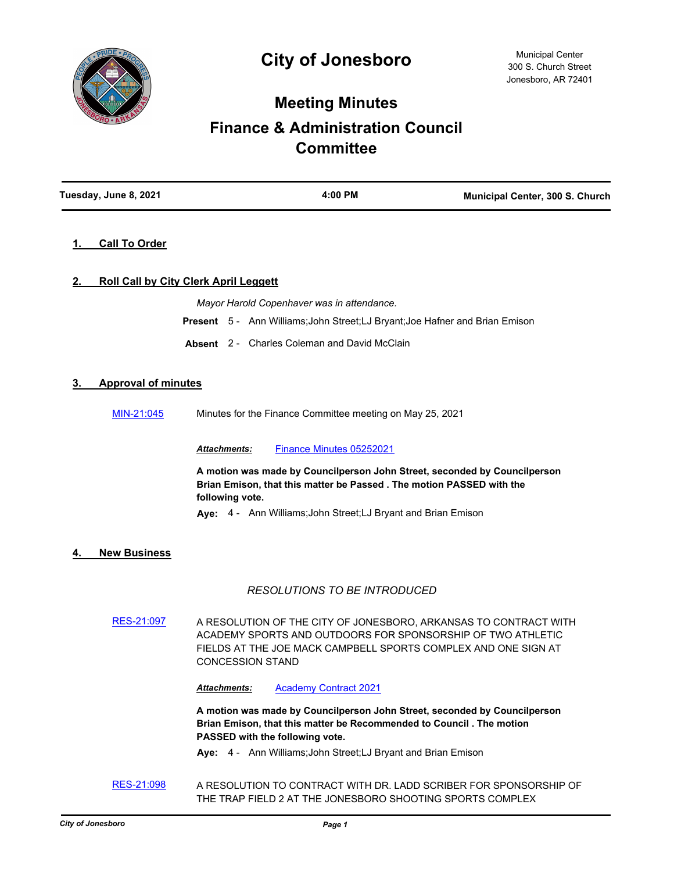

# **Meeting Minutes**

# **Finance & Administration Council Committee**

| Tuesday, June 8, 2021 | 4:00 PM | Municipal Center, 300 S. Church |
|-----------------------|---------|---------------------------------|
|                       |         |                                 |

# **1. Call To Order**

# **2. Roll Call by City Clerk April Leggett**

*Mayor Harold Copenhaver was in attendance.*

**Present** 5 - Ann Williams;John Street;LJ Bryant;Joe Hafner and Brian Emison

**Absent** 2 - Charles Coleman and David McClain

## **3. Approval of minutes**

[MIN-21:045](http://jonesboro.legistar.com/gateway.aspx?M=L&ID=21783) Minutes for the Finance Committee meeting on May 25, 2021

*Attachments:* [Finance Minutes 05252021](http://Jonesboro.legistar.com/gateway.aspx?M=F&ID=412d370d-e222-4e89-b153-c88a38f4e468.pdf)

**A motion was made by Councilperson John Street, seconded by Councilperson Brian Emison, that this matter be Passed . The motion PASSED with the following vote.**

**Aye:** 4 - Ann Williams;John Street;LJ Bryant and Brian Emison

## **4. New Business**

## *RESOLUTIONS TO BE INTRODUCED*

[RES-21:097](http://jonesboro.legistar.com/gateway.aspx?M=L&ID=21794) A RESOLUTION OF THE CITY OF JONESBORO, ARKANSAS TO CONTRACT WITH ACADEMY SPORTS AND OUTDOORS FOR SPONSORSHIP OF TWO ATHLETIC FIELDS AT THE JOE MACK CAMPBELL SPORTS COMPLEX AND ONE SIGN AT CONCESSION STAND

*Attachments:* [Academy Contract 2021](http://Jonesboro.legistar.com/gateway.aspx?M=F&ID=5fc6d417-d1e0-44be-8ccc-3c44704cdc44.pdf)

**A motion was made by Councilperson John Street, seconded by Councilperson Brian Emison, that this matter be Recommended to Council . The motion PASSED with the following vote.**

**Aye:** 4 - Ann Williams;John Street;LJ Bryant and Brian Emison

[RES-21:098](http://jonesboro.legistar.com/gateway.aspx?M=L&ID=21795) A RESOLUTION TO CONTRACT WITH DR. LADD SCRIBER FOR SPONSORSHIP OF THE TRAP FIELD 2 AT THE JONESBORO SHOOTING SPORTS COMPLEX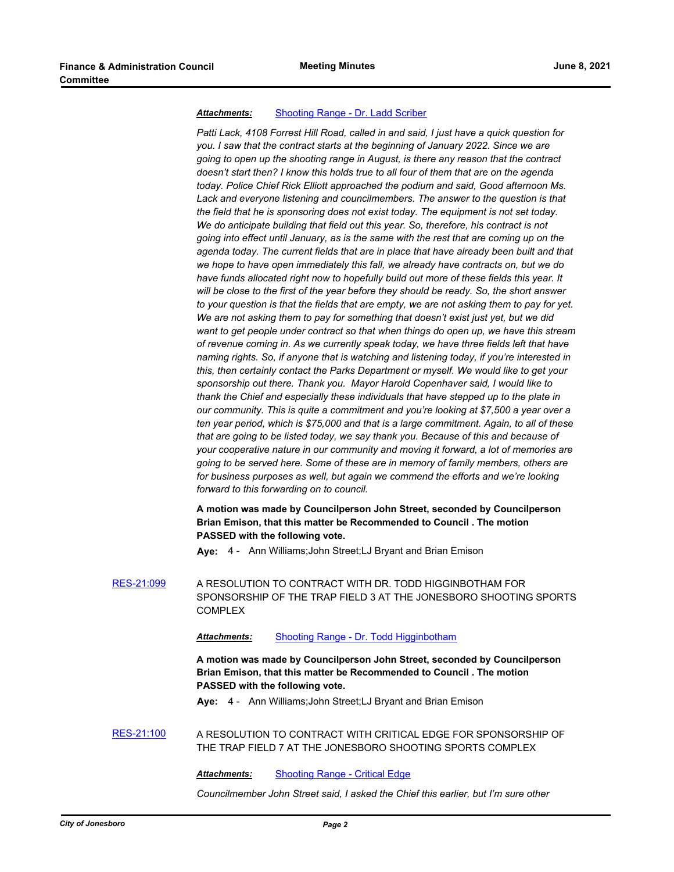#### *Attachments:* [Shooting Range - Dr. Ladd Scriber](http://Jonesboro.legistar.com/gateway.aspx?M=F&ID=bd55f2bf-3ce6-4895-8c8a-79447d4bebaa.docx)

*Patti Lack, 4108 Forrest Hill Road, called in and said, I just have a quick question for you. I saw that the contract starts at the beginning of January 2022. Since we are going to open up the shooting range in August, is there any reason that the contract doesn't start then? I know this holds true to all four of them that are on the agenda today. Police Chief Rick Elliott approached the podium and said, Good afternoon Ms. Lack and everyone listening and councilmembers. The answer to the question is that the field that he is sponsoring does not exist today. The equipment is not set today. We do anticipate building that field out this year. So, therefore, his contract is not going into effect until January, as is the same with the rest that are coming up on the agenda today. The current fields that are in place that have already been built and that we hope to have open immediately this fall, we already have contracts on, but we do have funds allocated right now to hopefully build out more of these fields this year. It will be close to the first of the year before they should be ready. So, the short answer to your question is that the fields that are empty, we are not asking them to pay for yet. We are not asking them to pay for something that doesn't exist just yet, but we did want to get people under contract so that when things do open up, we have this stream of revenue coming in. As we currently speak today, we have three fields left that have naming rights. So, if anyone that is watching and listening today, if you're interested in this, then certainly contact the Parks Department or myself. We would like to get your sponsorship out there. Thank you. Mayor Harold Copenhaver said, I would like to thank the Chief and especially these individuals that have stepped up to the plate in our community. This is quite a commitment and you're looking at \$7,500 a year over a ten year period, which is \$75,000 and that is a large commitment. Again, to all of these that are going to be listed today, we say thank you. Because of this and because of your cooperative nature in our community and moving it forward, a lot of memories are going to be served here. Some of these are in memory of family members, others are for business purposes as well, but again we commend the efforts and we're looking forward to this forwarding on to council.*

## **A motion was made by Councilperson John Street, seconded by Councilperson Brian Emison, that this matter be Recommended to Council . The motion PASSED with the following vote.**

**Aye:** 4 - Ann Williams;John Street;LJ Bryant and Brian Emison

[RES-21:099](http://jonesboro.legistar.com/gateway.aspx?M=L&ID=21796) A RESOLUTION TO CONTRACT WITH DR. TODD HIGGINBOTHAM FOR SPONSORSHIP OF THE TRAP FIELD 3 AT THE JONESBORO SHOOTING SPORTS COMPLEX

#### *Attachments:* [Shooting Range - Dr. Todd Higginbotham](http://Jonesboro.legistar.com/gateway.aspx?M=F&ID=3484e59b-2b52-4908-96a5-088e180ad529.docx)

**A motion was made by Councilperson John Street, seconded by Councilperson Brian Emison, that this matter be Recommended to Council . The motion PASSED with the following vote.**

**Aye:** 4 - Ann Williams;John Street;LJ Bryant and Brian Emison

[RES-21:100](http://jonesboro.legistar.com/gateway.aspx?M=L&ID=21797) A RESOLUTION TO CONTRACT WITH CRITICAL EDGE FOR SPONSORSHIP OF THE TRAP FIELD 7 AT THE JONESBORO SHOOTING SPORTS COMPLEX

*Attachments:* [Shooting Range - Critical Edge](http://Jonesboro.legistar.com/gateway.aspx?M=F&ID=a529636b-e21e-4c5e-8d1c-c662adfa6171.docx)

*Councilmember John Street said, I asked the Chief this earlier, but I'm sure other*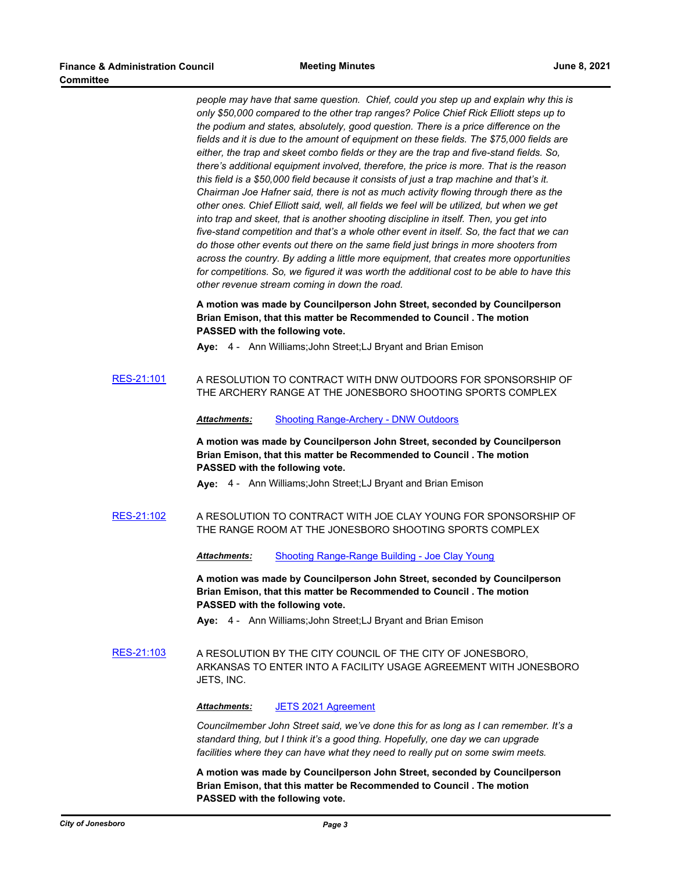*people may have that same question. Chief, could you step up and explain why this is only \$50,000 compared to the other trap ranges? Police Chief Rick Elliott steps up to the podium and states, absolutely, good question. There is a price difference on the fields and it is due to the amount of equipment on these fields. The \$75,000 fields are either, the trap and skeet combo fields or they are the trap and five-stand fields. So, there's additional equipment involved, therefore, the price is more. That is the reason this field is a \$50,000 field because it consists of just a trap machine and that's it. Chairman Joe Hafner said, there is not as much activity flowing through there as the other ones. Chief Elliott said, well, all fields we feel will be utilized, but when we get into trap and skeet, that is another shooting discipline in itself. Then, you get into five-stand competition and that's a whole other event in itself. So, the fact that we can do those other events out there on the same field just brings in more shooters from across the country. By adding a little more equipment, that creates more opportunities for competitions. So, we figured it was worth the additional cost to be able to have this other revenue stream coming in down the road.*

## **A motion was made by Councilperson John Street, seconded by Councilperson Brian Emison, that this matter be Recommended to Council . The motion PASSED with the following vote.**

**Aye:** 4 - Ann Williams;John Street;LJ Bryant and Brian Emison

[RES-21:101](http://jonesboro.legistar.com/gateway.aspx?M=L&ID=21798) A RESOLUTION TO CONTRACT WITH DNW OUTDOORS FOR SPONSORSHIP OF THE ARCHERY RANGE AT THE JONESBORO SHOOTING SPORTS COMPLEX

*Attachments:* [Shooting Range-Archery - DNW Outdoors](http://Jonesboro.legistar.com/gateway.aspx?M=F&ID=3e98ea6f-98a1-4d36-ab12-bef703757cd2.docx)

**A motion was made by Councilperson John Street, seconded by Councilperson Brian Emison, that this matter be Recommended to Council . The motion PASSED with the following vote.**

**Aye:** 4 - Ann Williams;John Street;LJ Bryant and Brian Emison

[RES-21:102](http://jonesboro.legistar.com/gateway.aspx?M=L&ID=21799) A RESOLUTION TO CONTRACT WITH JOE CLAY YOUNG FOR SPONSORSHIP OF THE RANGE ROOM AT THE JONESBORO SHOOTING SPORTS COMPLEX

*Attachments:* [Shooting Range-Range Building - Joe Clay Young](http://Jonesboro.legistar.com/gateway.aspx?M=F&ID=792a9b87-71da-4f56-b963-29a1395bffc5.docx)

**A motion was made by Councilperson John Street, seconded by Councilperson Brian Emison, that this matter be Recommended to Council . The motion PASSED with the following vote.**

**Aye:** 4 - Ann Williams;John Street;LJ Bryant and Brian Emison

[RES-21:103](http://jonesboro.legistar.com/gateway.aspx?M=L&ID=21800) A RESOLUTION BY THE CITY COUNCIL OF THE CITY OF JONESBORO, ARKANSAS TO ENTER INTO A FACILITY USAGE AGREEMENT WITH JONESBORO JETS, INC.

*Attachments:* [JETS 2021 Agreement](http://Jonesboro.legistar.com/gateway.aspx?M=F&ID=1491ddab-3b2b-4ad9-95cc-ef23998c000a.docx)

*Councilmember John Street said, we've done this for as long as I can remember. It's a standard thing, but I think it's a good thing. Hopefully, one day we can upgrade facilities where they can have what they need to really put on some swim meets.*

**A motion was made by Councilperson John Street, seconded by Councilperson Brian Emison, that this matter be Recommended to Council . The motion PASSED with the following vote.**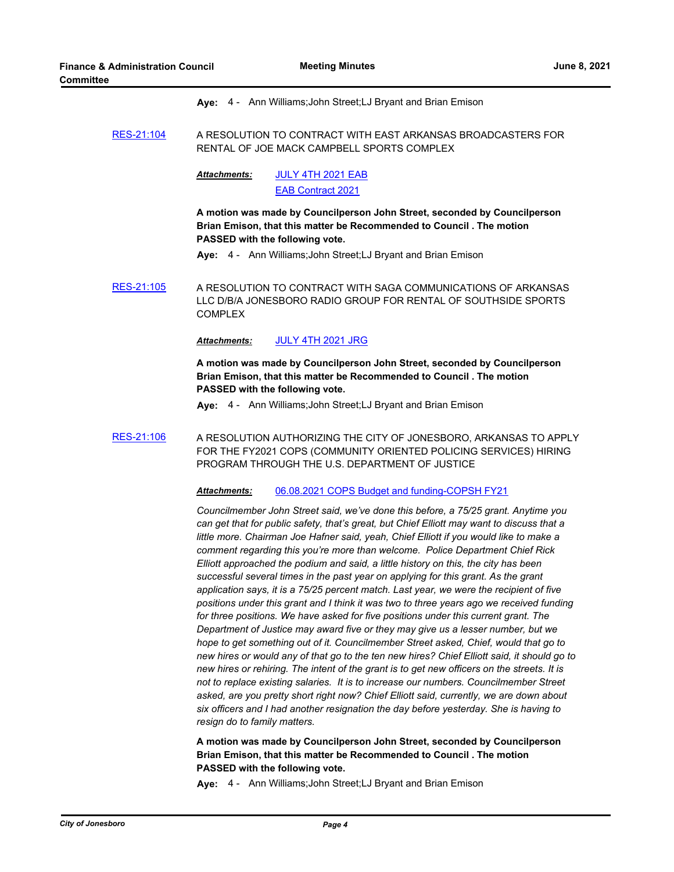**Aye:** 4 - Ann Williams;John Street;LJ Bryant and Brian Emison

[RES-21:104](http://jonesboro.legistar.com/gateway.aspx?M=L&ID=21801) A RESOLUTION TO CONTRACT WITH EAST ARKANSAS BROADCASTERS FOR RENTAL OF JOE MACK CAMPBELL SPORTS COMPLEX

> [JULY 4TH 2021 EAB](http://Jonesboro.legistar.com/gateway.aspx?M=F&ID=1b0fb10a-ec2d-4f6c-aaa2-8261307dbd54.docx) [EAB Contract 2021](http://Jonesboro.legistar.com/gateway.aspx?M=F&ID=bfdac3d3-6589-4747-bcdd-506829c52844.pdf) *Attachments:*

**A motion was made by Councilperson John Street, seconded by Councilperson Brian Emison, that this matter be Recommended to Council . The motion PASSED with the following vote.**

**Aye:** 4 - Ann Williams;John Street;LJ Bryant and Brian Emison

[RES-21:105](http://jonesboro.legistar.com/gateway.aspx?M=L&ID=21802) A RESOLUTION TO CONTRACT WITH SAGA COMMUNICATIONS OF ARKANSAS LLC D/B/A JONESBORO RADIO GROUP FOR RENTAL OF SOUTHSIDE SPORTS COMPLEX

#### *Attachments:* [JULY 4TH 2021 JRG](http://Jonesboro.legistar.com/gateway.aspx?M=F&ID=d1ea4405-345f-423a-a39a-3a352997f6e6.docx)

**A motion was made by Councilperson John Street, seconded by Councilperson Brian Emison, that this matter be Recommended to Council . The motion PASSED with the following vote.**

**Aye:** 4 - Ann Williams;John Street;LJ Bryant and Brian Emison

[RES-21:106](http://jonesboro.legistar.com/gateway.aspx?M=L&ID=21803) A RESOLUTION AUTHORIZING THE CITY OF JONESBORO, ARKANSAS TO APPLY FOR THE FY2021 COPS (COMMUNITY ORIENTED POLICING SERVICES) HIRING PROGRAM THROUGH THE U.S. DEPARTMENT OF JUSTICE

#### *Attachments:* [06.08.2021 COPS Budget and funding-COPSH FY21](http://Jonesboro.legistar.com/gateway.aspx?M=F&ID=5de25714-6caa-4700-a35a-60b5796af4d4.pdf)

*Councilmember John Street said, we've done this before, a 75/25 grant. Anytime you can get that for public safety, that's great, but Chief Elliott may want to discuss that a little more. Chairman Joe Hafner said, yeah, Chief Elliott if you would like to make a comment regarding this you're more than welcome. Police Department Chief Rick Elliott approached the podium and said, a little history on this, the city has been successful several times in the past year on applying for this grant. As the grant application says, it is a 75/25 percent match. Last year, we were the recipient of five positions under this grant and I think it was two to three years ago we received funding for three positions. We have asked for five positions under this current grant. The Department of Justice may award five or they may give us a lesser number, but we hope to get something out of it. Councilmember Street asked, Chief, would that go to new hires or would any of that go to the ten new hires? Chief Elliott said, it should go to new hires or rehiring. The intent of the grant is to get new officers on the streets. It is not to replace existing salaries. It is to increase our numbers. Councilmember Street asked, are you pretty short right now? Chief Elliott said, currently, we are down about six officers and I had another resignation the day before yesterday. She is having to resign do to family matters.*

**A motion was made by Councilperson John Street, seconded by Councilperson Brian Emison, that this matter be Recommended to Council . The motion PASSED with the following vote.**

**Aye:** 4 - Ann Williams;John Street;LJ Bryant and Brian Emison